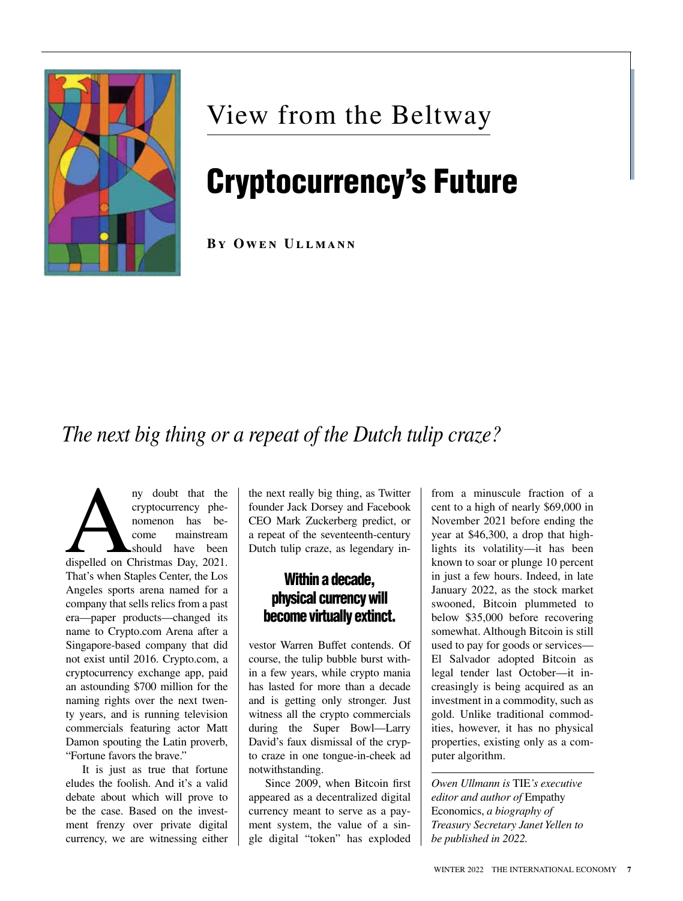

## View from the Beltway

# Cryptocurrency's Future

**By Owen Ullmann**

### *The next big thing or a repeat of the Dutch tulip craze?*

ny doubt that the cryptocurrency phenomenon has become mainstream<br>
should have been<br>
dispelled on Christmas Day, 2021. cryptocurrency phenomenon has become mainstream should have been That's when Staples Center, the Los Angeles sports arena named for a company that sells relics from a past era—paper products—changed its name to Crypto.com Arena after a Singapore-based company that did not exist until 2016. Crypto.com, a cryptocurrency exchange app, paid an astounding \$700 million for the naming rights over the next twenty years, and is running television commercials featuring actor Matt Damon spouting the Latin proverb, "Fortune favors the brave."

It is just as true that fortune eludes the foolish. And it's a valid debate about which will prove to be the case. Based on the investment frenzy over private digital currency, we are witnessing either the next really big thing, as Twitter founder Jack Dorsey and Facebook CEO Mark Zuckerberg predict, or a repeat of the seventeenth-century Dutch tulip craze, as legendary in-

#### Within a decade, physical currency will become virtually extinct.

vestor Warren Buffet contends. Of course, the tulip bubble burst within a few years, while crypto mania has lasted for more than a decade and is getting only stronger. Just witness all the crypto commercials during the Super Bowl—Larry David's faux dismissal of the crypto craze in one tongue-in-cheek ad notwithstanding.

Since 2009, when Bitcoin first appeared as a decentralized digital currency meant to serve as a payment system, the value of a single digital "token" has exploded from a minuscule fraction of a cent to a high of nearly \$69,000 in November 2021 before ending the year at \$46,300, a drop that highlights its volatility—it has been known to soar or plunge 10 percent in just a few hours. Indeed, in late January 2022, as the stock market swooned, Bitcoin plummeted to below \$35,000 before recovering somewhat. Although Bitcoin is still used to pay for goods or services— El Salvador adopted Bitcoin as legal tender last October—it increasingly is being acquired as an investment in a commodity, such as gold. Unlike traditional commodities, however, it has no physical properties, existing only as a computer algorithm.

*Owen Ullmann is* TIE*'s executive editor and author of* Empathy Economics, *a biography of Treasury Secretary Janet Yellen to be published in 2022.*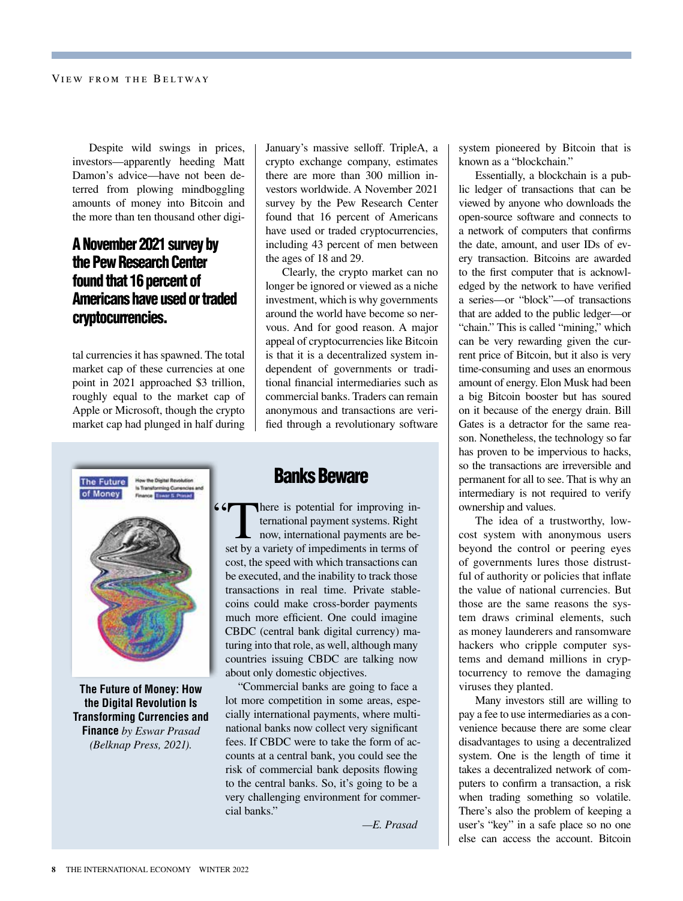Despite wild swings in prices, investors—apparently heeding Matt Damon's advice—have not been deterred from plowing mindboggling amounts of money into Bitcoin and the more than ten thousand other digi-

#### A November 2021 survey by the Pew Research Center found that 16 percent of Americans have used or traded cryptocurrencies.

tal currencies it has spawned. The total market cap of these currencies at one point in 2021 approached \$3 trillion, roughly equal to the market cap of Apple or Microsoft, though the crypto market cap had plunged in half during January's massive selloff. TripleA, a crypto exchange company, estimates there are more than 300 million investors worldwide. A November 2021 survey by the Pew Research Center found that 16 percent of Americans have used or traded cryptocurrencies, including 43 percent of men between the ages of 18 and 29.

Clearly, the crypto market can no longer be ignored or viewed as a niche investment, which is why governments around the world have become so nervous. And for good reason. A major appeal of cryptocurrencies like Bitcoin is that it is a decentralized system independent of governments or traditional financial intermediaries such as commercial banks. Traders can remain anonymous and transactions are verified through a revolutionary software



**The Future of Money: How the Digital Revolution Is Transforming Currencies and Finance** *by Eswar Prasad (Belknap Press, 2021).*

#### Banks Beware

66 There is potential for improving international payment systems. Right now, international payments are beset by a variety of impediments in terms of cost, the speed with which transactions can be executed, and the inability to track those transactions in real time. Private stablecoins could make cross-border payments much more efficient. One could imagine CBDC (central bank digital currency) maturing into that role, as well, although many countries issuing CBDC are talking now about only domestic objectives.

"Commercial banks are going to face a lot more competition in some areas, especially international payments, where multinational banks now collect very significant fees. If CBDC were to take the form of accounts at a central bank, you could see the risk of commercial bank deposits flowing to the central banks. So, it's going to be a very challenging environment for commercial banks."

*—E. Prasad*

system pioneered by Bitcoin that is known as a "blockchain."

Essentially, a blockchain is a public ledger of transactions that can be viewed by anyone who downloads the open-source software and connects to a network of computers that confirms the date, amount, and user IDs of every transaction. Bitcoins are awarded to the first computer that is acknowledged by the network to have verified a series—or "block"—of transactions that are added to the public ledger—or "chain." This is called "mining," which can be very rewarding given the current price of Bitcoin, but it also is very time-consuming and uses an enormous amount of energy. Elon Musk had been a big Bitcoin booster but has soured on it because of the energy drain. Bill Gates is a detractor for the same reason. Nonetheless, the technology so far has proven to be impervious to hacks, so the transactions are irreversible and permanent for all to see. That is why an intermediary is not required to verify ownership and values.

The idea of a trustworthy, lowcost system with anonymous users beyond the control or peering eyes of governments lures those distrustful of authority or policies that inflate the value of national currencies. But those are the same reasons the system draws criminal elements, such as money launderers and ransomware hackers who cripple computer systems and demand millions in cryptocurrency to remove the damaging viruses they planted.

Many investors still are willing to pay a fee to use intermediaries as a convenience because there are some clear disadvantages to using a decentralized system. One is the length of time it takes a decentralized network of computers to confirm a transaction, a risk when trading something so volatile. There's also the problem of keeping a user's "key" in a safe place so no one else can access the account. Bitcoin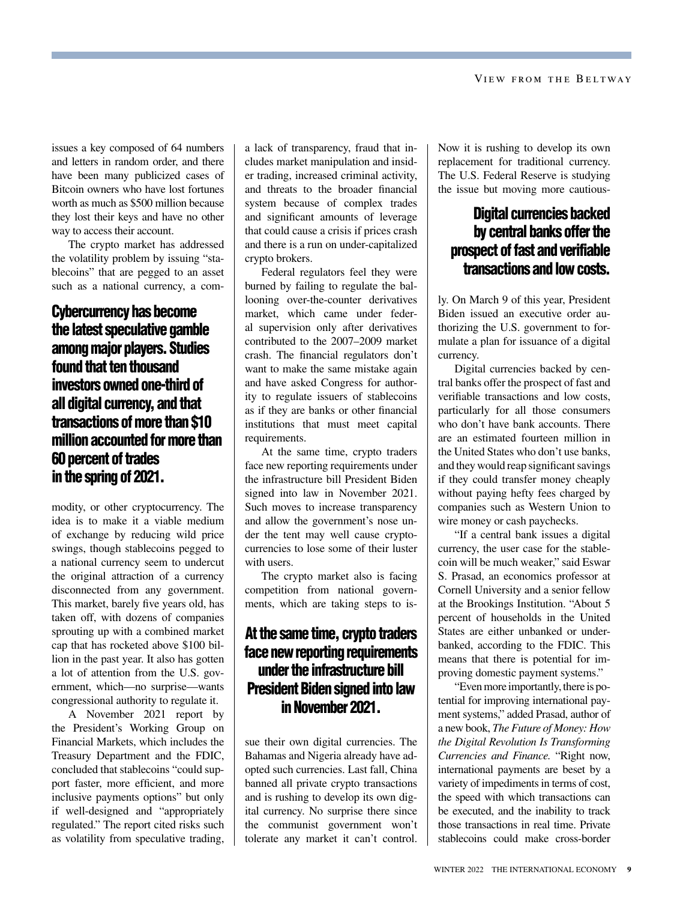issues a key composed of 64 numbers and letters in random order, and there have been many publicized cases of Bitcoin owners who have lost fortunes worth as much as \$500 million because they lost their keys and have no other way to access their account.

The crypto market has addressed the volatility problem by issuing "stablecoins" that are pegged to an asset such as a national currency, a com-

#### Cybercurrency has become the latest speculative gamble among major players. Studies found that ten thousand investors owned one-third of all digital currency, and that transactions of more than \$10 million accounted for more than 60 percent of trades in the spring of 2021.

modity, or other cryptocurrency. The idea is to make it a viable medium of exchange by reducing wild price swings, though stablecoins pegged to a national currency seem to undercut the original attraction of a currency disconnected from any government. This market, barely five years old, has taken off, with dozens of companies sprouting up with a combined market cap that has rocketed above \$100 billion in the past year. It also has gotten a lot of attention from the U.S. government, which—no surprise—wants congressional authority to regulate it.

A November 2021 report by the President's Working Group on Financial Markets, which includes the Treasury Department and the FDIC, concluded that stablecoins "could support faster, more efficient, and more inclusive payments options" but only if well-designed and "appropriately regulated." The report cited risks such as volatility from speculative trading,

a lack of transparency, fraud that includes market manipulation and insider trading, increased criminal activity, and threats to the broader financial system because of complex trades and significant amounts of leverage that could cause a crisis if prices crash and there is a run on under-capitalized crypto brokers.

Federal regulators feel they were burned by failing to regulate the ballooning over-the-counter derivatives market, which came under federal supervision only after derivatives contributed to the 2007–2009 market crash. The financial regulators don't want to make the same mistake again and have asked Congress for authority to regulate issuers of stablecoins as if they are banks or other financial institutions that must meet capital requirements.

At the same time, crypto traders face new reporting requirements under the infrastructure bill President Biden signed into law in November 2021. Such moves to increase transparency and allow the government's nose under the tent may well cause cryptocurrencies to lose some of their luster with users.

The crypto market also is facing competition from national governments, which are taking steps to is-

#### At the same time, crypto traders face new reporting requirements under the infrastructure bill President Biden signed into law in November 2021.

sue their own digital currencies. The Bahamas and Nigeria already have adopted such currencies. Last fall, China banned all private crypto transactions and is rushing to develop its own digital currency. No surprise there since the communist government won't tolerate any market it can't control. Now it is rushing to develop its own replacement for traditional currency. The U.S. Federal Reserve is studying the issue but moving more cautious-

#### Digital currencies backed by central banks offer the prospect of fast and verifiable transactions and low costs.

ly. On March 9 of this year, President Biden issued an executive order authorizing the U.S. government to formulate a plan for issuance of a digital currency.

Digital currencies backed by central banks offer the prospect of fast and verifiable transactions and low costs, particularly for all those consumers who don't have bank accounts. There are an estimated fourteen million in the United States who don't use banks, and they would reap significant savings if they could transfer money cheaply without paying hefty fees charged by companies such as Western Union to wire money or cash paychecks.

"If a central bank issues a digital currency, the user case for the stablecoin will be much weaker," said Eswar S. Prasad, an economics professor at Cornell University and a senior fellow at the Brookings Institution. "About 5 percent of households in the United States are either unbanked or underbanked, according to the FDIC. This means that there is potential for improving domestic payment systems."

"Even more importantly, there is potential for improving international payment systems," added Prasad, author of a new book, *The Future of Money: How the Digital Revolution Is Transforming Currencies and Finance.* "Right now, international payments are beset by a variety of impediments in terms of cost, the speed with which transactions can be executed, and the inability to track those transactions in real time. Private stablecoins could make cross-border